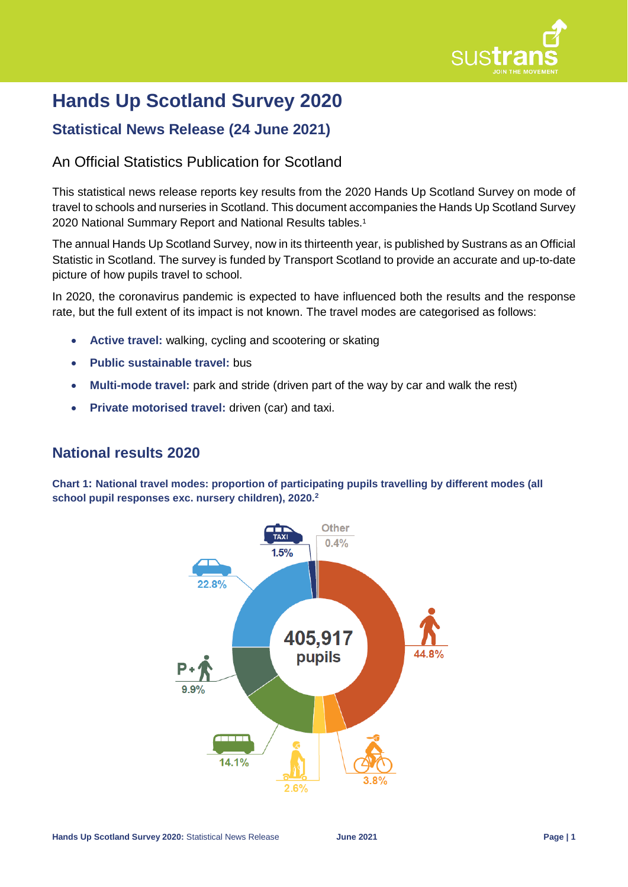

# **Hands Up Scotland Survey 2020**

# **Statistical News Release (24 June 2021)**

### An Official Statistics Publication for Scotland

This statistical news release reports key results from the 2020 Hands Up Scotland Survey on mode of travel to schools and nurseries in Scotland. This document accompanies the Hands Up Scotland Survey 2020 National Summary Report and National Results tables.<sup>1</sup>

The annual Hands Up Scotland Survey, now in its thirteenth year, is published by Sustrans as an Official Statistic in Scotland. The survey is funded by Transport Scotland to provide an accurate and up-to-date picture of how pupils travel to school.

In 2020, the coronavirus pandemic is expected to have influenced both the results and the response rate, but the full extent of its impact is not known. The travel modes are categorised as follows:

- **Active travel:** walking, cycling and scootering or skating
- **Public sustainable travel:** bus
- **Multi-mode travel:** park and stride (driven part of the way by car and walk the rest)
- **Private motorised travel:** driven (car) and taxi.

### **National results 2020**

**Chart 1: National travel modes: proportion of participating pupils travelling by different modes (all school pupil responses exc. nursery children), 2020. 2**

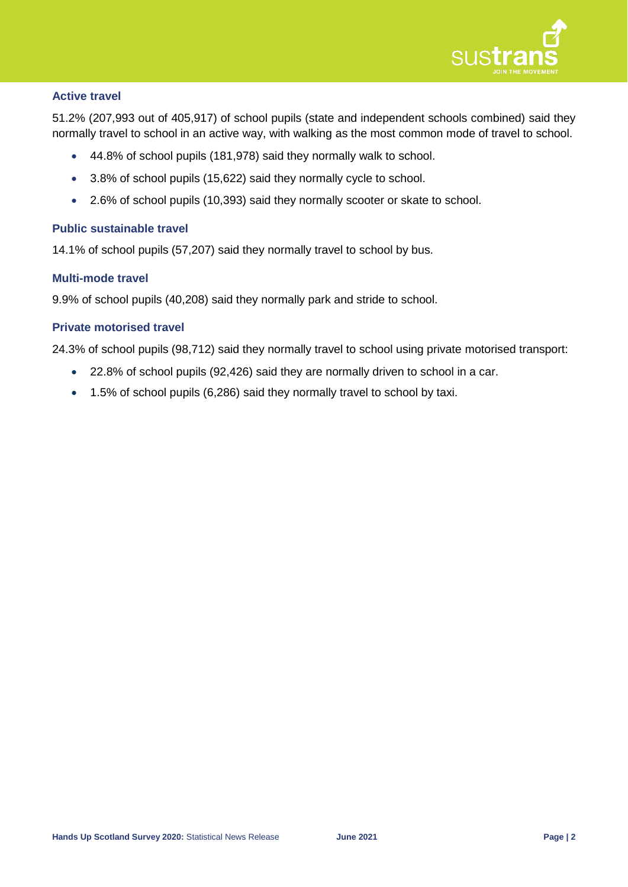

### **Active travel**

51.2% (207,993 out of 405,917) of school pupils (state and independent schools combined) said they normally travel to school in an active way, with walking as the most common mode of travel to school.

- 44.8% of school pupils (181,978) said they normally walk to school.
- 3.8% of school pupils (15,622) said they normally cycle to school.
- 2.6% of school pupils (10,393) said they normally scooter or skate to school.

### **Public sustainable travel**

14.1% of school pupils (57,207) said they normally travel to school by bus.

### **Multi-mode travel**

9.9% of school pupils (40,208) said they normally park and stride to school.

### **Private motorised travel**

24.3% of school pupils (98,712) said they normally travel to school using private motorised transport:

- 22.8% of school pupils (92,426) said they are normally driven to school in a car.
- 1.5% of school pupils (6,286) said they normally travel to school by taxi.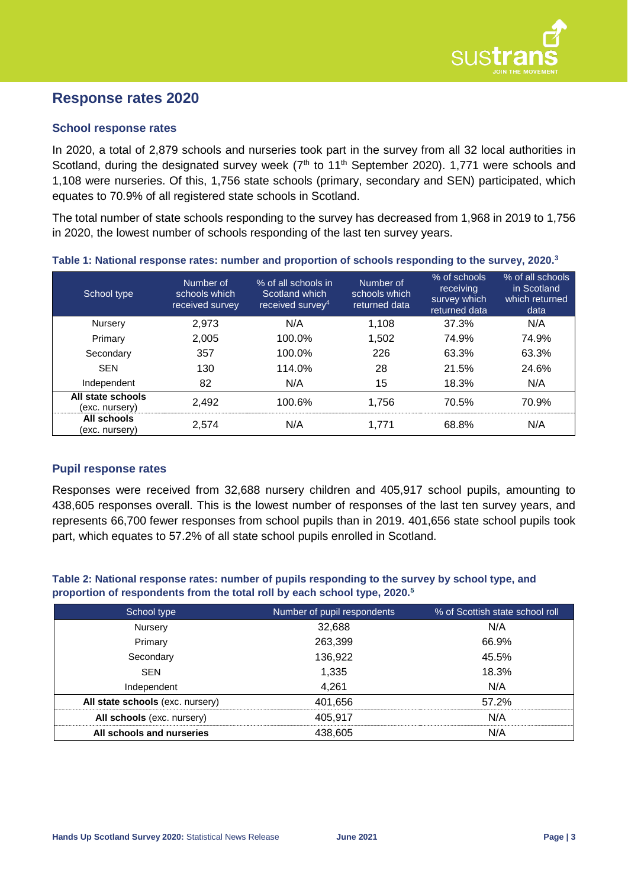

### **Response rates 2020**

### **School response rates**

In 2020, a total of 2,879 schools and nurseries took part in the survey from all 32 local authorities in Scotland, during the designated survey week (7<sup>th</sup> to 11<sup>th</sup> September 2020). 1,771 were schools and 1,108 were nurseries. Of this, 1,756 state schools (primary, secondary and SEN) participated, which equates to 70.9% of all registered state schools in Scotland.

The total number of state schools responding to the survey has decreased from 1,968 in 2019 to 1,756 in 2020, the lowest number of schools responding of the last ten survey years.

| School type                         | Number of<br>schools which<br>received survey | % of all schools in<br>Scotland which<br>received survey <sup>4</sup> | Number of<br>schools which<br>returned data | % of schools<br>receiving<br>survey which<br>returned data | % of all schools<br>in Scotland<br>which returned<br>data |
|-------------------------------------|-----------------------------------------------|-----------------------------------------------------------------------|---------------------------------------------|------------------------------------------------------------|-----------------------------------------------------------|
| <b>Nursery</b>                      | 2,973                                         | N/A                                                                   | 1,108                                       | 37.3%                                                      | N/A                                                       |
| Primary                             | 2,005                                         | 100.0%                                                                | 1,502                                       | 74.9%                                                      | 74.9%                                                     |
| Secondary                           | 357                                           | 100.0%                                                                | 226                                         | 63.3%                                                      | 63.3%                                                     |
| <b>SEN</b>                          | 130                                           | 114.0%                                                                | 28                                          | 21.5%                                                      | 24.6%                                                     |
| Independent                         | 82                                            | N/A                                                                   | 15                                          | 18.3%                                                      | N/A                                                       |
| All state schools<br>(exc. nursery) | 2,492                                         | 100.6%                                                                | 1,756                                       | 70.5%                                                      | 70.9%                                                     |
| All schools<br>(exc. nursery)       | 2,574                                         | N/A                                                                   | 1.771                                       | 68.8%                                                      | N/A                                                       |

#### **Table 1: National response rates: number and proportion of schools responding to the survey, 2020. 3**

### **Pupil response rates**

Responses were received from 32,688 nursery children and 405,917 school pupils, amounting to 438,605 responses overall. This is the lowest number of responses of the last ten survey years, and represents 66,700 fewer responses from school pupils than in 2019. 401,656 state school pupils took part, which equates to 57.2% of all state school pupils enrolled in Scotland.

### **Table 2: National response rates: number of pupils responding to the survey by school type, and proportion of respondents from the total roll by each school type, 2020. 5**

| School type                      | Number of pupil respondents | % of Scottish state school roll |  |  |
|----------------------------------|-----------------------------|---------------------------------|--|--|
| Nursery                          | 32,688                      | N/A                             |  |  |
| Primary                          | 263,399                     | 66.9%                           |  |  |
| Secondary                        | 136,922                     | 45.5%                           |  |  |
| <b>SEN</b>                       | 1,335                       | 18.3%                           |  |  |
| Independent                      | 4,261                       | N/A                             |  |  |
| All state schools (exc. nursery) | 401,656                     | 57.2%                           |  |  |
| All schools (exc. nursery)       | 405,917                     | N/A                             |  |  |
| All schools and nurseries        | 438.605                     | N/A                             |  |  |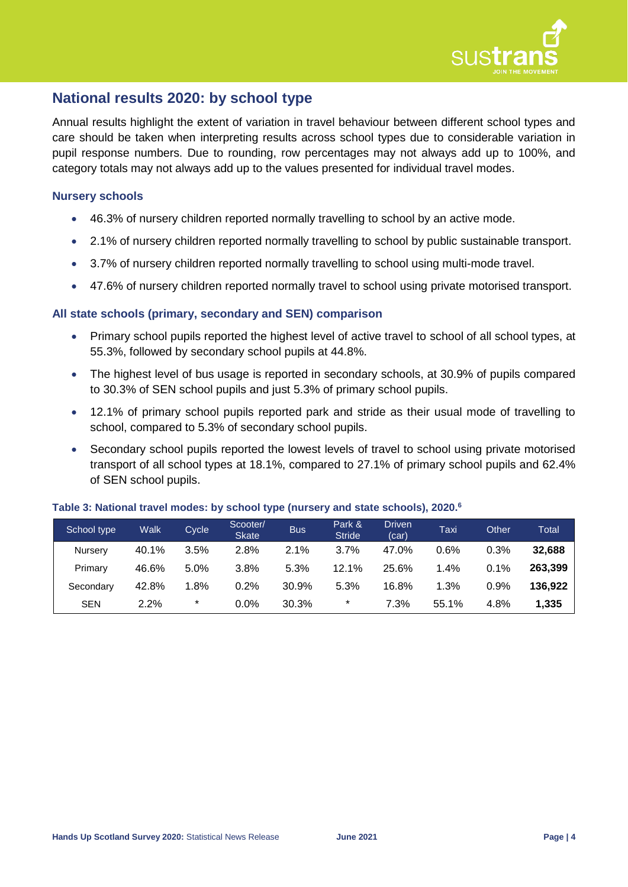

### **National results 2020: by school type**

Annual results highlight the extent of variation in travel behaviour between different school types and care should be taken when interpreting results across school types due to considerable variation in pupil response numbers. Due to rounding, row percentages may not always add up to 100%, and category totals may not always add up to the values presented for individual travel modes.

### **Nursery schools**

- 46.3% of nursery children reported normally travelling to school by an active mode.
- 2.1% of nursery children reported normally travelling to school by public sustainable transport.
- 3.7% of nursery children reported normally travelling to school using multi-mode travel.
- 47.6% of nursery children reported normally travel to school using private motorised transport.

### **All state schools (primary, secondary and SEN) comparison**

- Primary school pupils reported the highest level of active travel to school of all school types, at 55.3%, followed by secondary school pupils at 44.8%.
- The highest level of bus usage is reported in secondary schools, at 30.9% of pupils compared to 30.3% of SEN school pupils and just 5.3% of primary school pupils.
- 12.1% of primary school pupils reported park and stride as their usual mode of travelling to school, compared to 5.3% of secondary school pupils.
- Secondary school pupils reported the lowest levels of travel to school using private motorised transport of all school types at 18.1%, compared to 27.1% of primary school pupils and 62.4% of SEN school pupils.

| School type | Walk  | Cycle   | Scooter/<br><b>Skate</b> | <b>Bus</b> | Park &<br><b>Stride</b> | <b>Driven</b><br>(car) | Taxi    | Other   | Total   |
|-------------|-------|---------|--------------------------|------------|-------------------------|------------------------|---------|---------|---------|
| Nurserv     | 40.1% | 3.5%    | 2.8%                     | 2.1%       | 3.7%                    | 47.0%                  | $0.6\%$ | 0.3%    | 32.688  |
| Primary     | 46.6% | 5.0%    | 3.8%                     | 5.3%       | 12.1%                   | 25.6%                  | 1.4%    | 0.1%    | 263.399 |
| Secondary   | 42.8% | 1.8%    | 0.2%                     | 30.9%      | 5.3%                    | 16.8%                  | 1.3%    | $0.9\%$ | 136.922 |
| <b>SEN</b>  | 2.2%  | $\star$ | $0.0\%$                  | 30.3%      | $\star$                 | 7.3%                   | 55.1%   | 4.8%    | 1,335   |

### **Table 3: National travel modes: by school type (nursery and state schools), 2020. 6**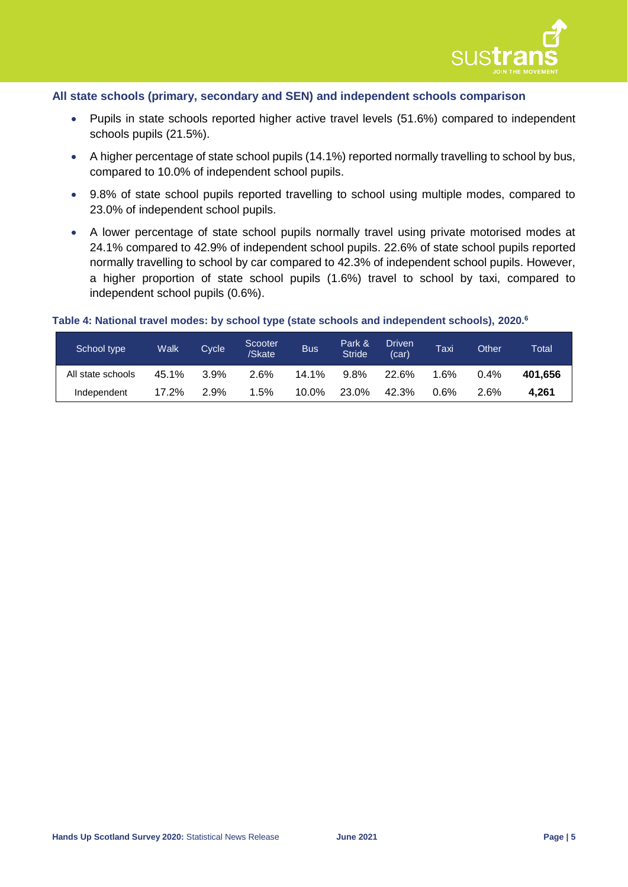

### **All state schools (primary, secondary and SEN) and independent schools comparison**

- Pupils in state schools reported higher active travel levels (51.6%) compared to independent schools pupils (21.5%).
- A higher percentage of state school pupils (14.1%) reported normally travelling to school by bus, compared to 10.0% of independent school pupils.
- 9.8% of state school pupils reported travelling to school using multiple modes, compared to 23.0% of independent school pupils.
- A lower percentage of state school pupils normally travel using private motorised modes at 24.1% compared to 42.9% of independent school pupils. 22.6% of state school pupils reported normally travelling to school by car compared to 42.3% of independent school pupils. However, a higher proportion of state school pupils (1.6%) travel to school by taxi, compared to independent school pupils (0.6%).

### **Table 4: National travel modes: by school type (state schools and independent schools), 2020. 6**

| School type       | Walk  | <b>Cycle</b> | Scooter<br>/Skate | <b>Bus</b> | Park &<br><b>Stride</b> | Driven<br>(car) | Taxi | Other | Total   |
|-------------------|-------|--------------|-------------------|------------|-------------------------|-----------------|------|-------|---------|
| All state schools | 45.1% | 3.9%         | 2.6%              | 14.1%      | 9.8%                    | 22.6%           | 1.6% | 0.4%  | 401.656 |
| Independent       | 17.2% | 2.9%         | 1.5%              | 10.0%      | 23.0%                   | 42.3%           | 0.6% | 2.6%  | 4.261   |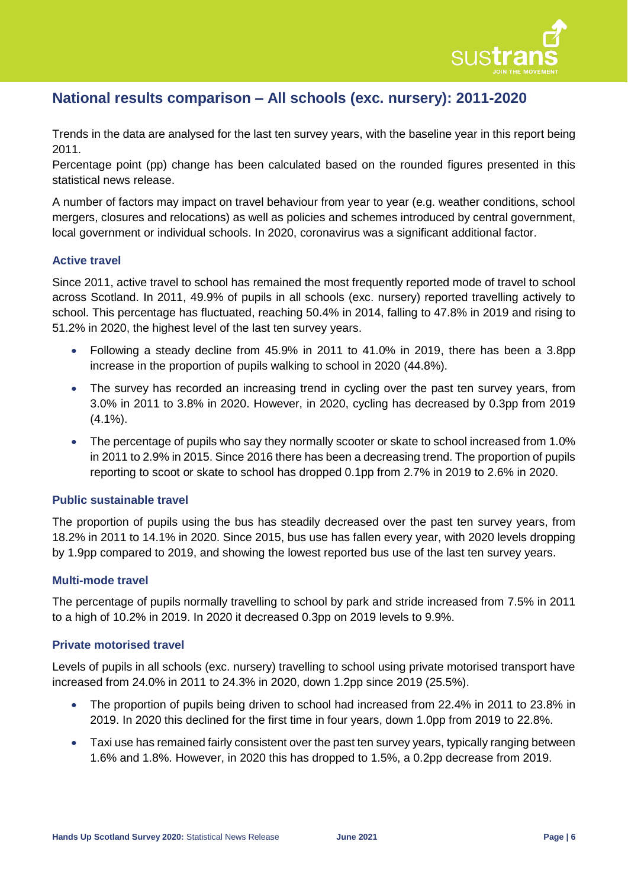

## **National results comparison – All schools (exc. nursery): 2011-2020**

Trends in the data are analysed for the last ten survey years, with the baseline year in this report being 2011.

Percentage point (pp) change has been calculated based on the rounded figures presented in this statistical news release.

A number of factors may impact on travel behaviour from year to year (e.g. weather conditions, school mergers, closures and relocations) as well as policies and schemes introduced by central government, local government or individual schools. In 2020, coronavirus was a significant additional factor.

### **Active travel**

Since 2011, active travel to school has remained the most frequently reported mode of travel to school across Scotland. In 2011, 49.9% of pupils in all schools (exc. nursery) reported travelling actively to school. This percentage has fluctuated, reaching 50.4% in 2014, falling to 47.8% in 2019 and rising to 51.2% in 2020, the highest level of the last ten survey years.

- Following a steady decline from 45.9% in 2011 to 41.0% in 2019, there has been a 3.8pp increase in the proportion of pupils walking to school in 2020 (44.8%).
- The survey has recorded an increasing trend in cycling over the past ten survey years, from 3.0% in 2011 to 3.8% in 2020. However, in 2020, cycling has decreased by 0.3pp from 2019 (4.1%).
- The percentage of pupils who say they normally scooter or skate to school increased from 1.0% in 2011 to 2.9% in 2015. Since 2016 there has been a decreasing trend. The proportion of pupils reporting to scoot or skate to school has dropped 0.1pp from 2.7% in 2019 to 2.6% in 2020.

### **Public sustainable travel**

The proportion of pupils using the bus has steadily decreased over the past ten survey years, from 18.2% in 2011 to 14.1% in 2020. Since 2015, bus use has fallen every year, with 2020 levels dropping by 1.9pp compared to 2019, and showing the lowest reported bus use of the last ten survey years.

### **Multi-mode travel**

The percentage of pupils normally travelling to school by park and stride increased from 7.5% in 2011 to a high of 10.2% in 2019. In 2020 it decreased 0.3pp on 2019 levels to 9.9%.

### **Private motorised travel**

Levels of pupils in all schools (exc. nursery) travelling to school using private motorised transport have increased from 24.0% in 2011 to 24.3% in 2020, down 1.2pp since 2019 (25.5%).

- The proportion of pupils being driven to school had increased from 22.4% in 2011 to 23.8% in 2019. In 2020 this declined for the first time in four years, down 1.0pp from 2019 to 22.8%.
- Taxi use has remained fairly consistent over the past ten survey years, typically ranging between 1.6% and 1.8%. However, in 2020 this has dropped to 1.5%, a 0.2pp decrease from 2019.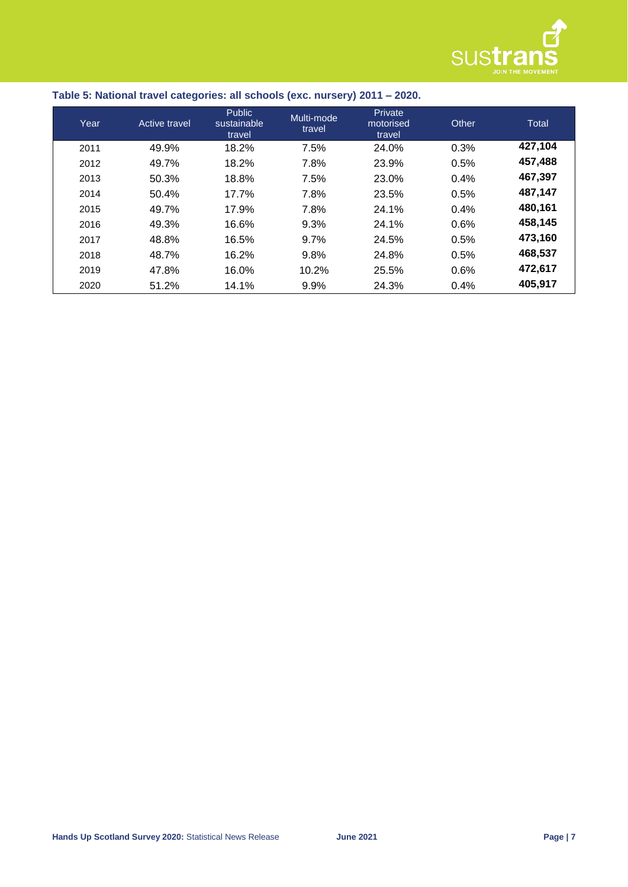

### **Table 5: National travel categories: all schools (exc. nursery) 2011 – 2020.**

| Year | <b>Active travel</b> | <b>Public</b><br>sustainable<br>travel | Multi-mode<br>travel | Private<br>motorised<br>travel | Other | <b>Total</b> |
|------|----------------------|----------------------------------------|----------------------|--------------------------------|-------|--------------|
| 2011 | 49.9%                | 18.2%                                  | 7.5%                 | 24.0%                          | 0.3%  | 427,104      |
| 2012 | 49.7%                | 18.2%                                  | 7.8%                 | 23.9%                          | 0.5%  | 457,488      |
| 2013 | 50.3%                | 18.8%                                  | 7.5%                 | 23.0%                          | 0.4%  | 467,397      |
| 2014 | 50.4%                | 17.7%                                  | 7.8%                 | 23.5%                          | 0.5%  | 487,147      |
| 2015 | 49.7%                | 17.9%                                  | 7.8%                 | 24.1%                          | 0.4%  | 480,161      |
| 2016 | 49.3%                | 16.6%                                  | 9.3%                 | 24.1%                          | 0.6%  | 458,145      |
| 2017 | 48.8%                | 16.5%                                  | 9.7%                 | 24.5%                          | 0.5%  | 473,160      |
| 2018 | 48.7%                | 16.2%                                  | 9.8%                 | 24.8%                          | 0.5%  | 468,537      |
| 2019 | 47.8%                | 16.0%                                  | 10.2%                | 25.5%                          | 0.6%  | 472,617      |
| 2020 | 51.2%                | 14.1%                                  | 9.9%                 | 24.3%                          | 0.4%  | 405,917      |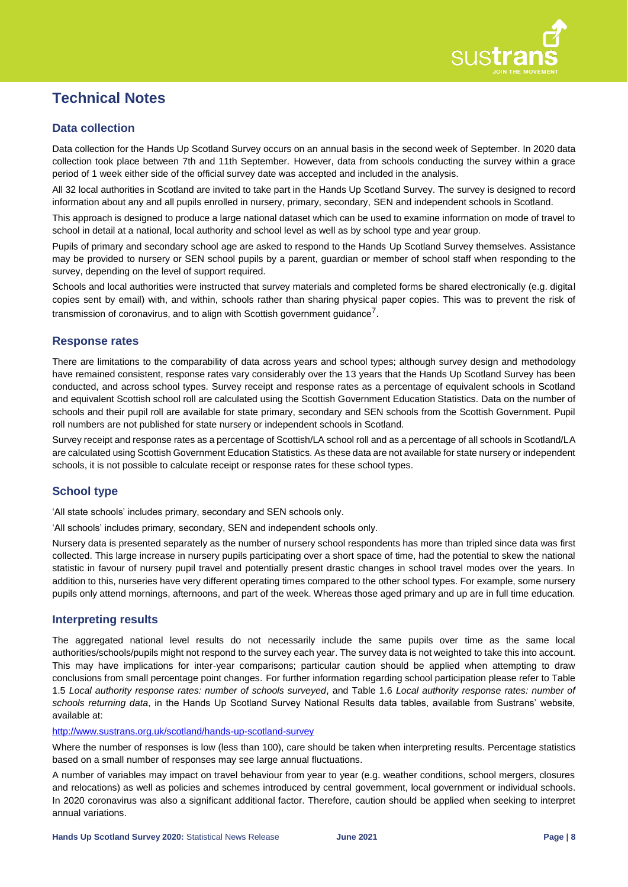

# **Technical Notes**

### **Data collection**

Data collection for the Hands Up Scotland Survey occurs on an annual basis in the second week of September. In 2020 data collection took place between 7th and 11th September. However, data from schools conducting the survey within a grace period of 1 week either side of the official survey date was accepted and included in the analysis.

All 32 local authorities in Scotland are invited to take part in the Hands Up Scotland Survey. The survey is designed to record information about any and all pupils enrolled in nursery, primary, secondary, SEN and independent schools in Scotland.

This approach is designed to produce a large national dataset which can be used to examine information on mode of travel to school in detail at a national, local authority and school level as well as by school type and year group.

Pupils of primary and secondary school age are asked to respond to the Hands Up Scotland Survey themselves. Assistance may be provided to nursery or SEN school pupils by a parent, guardian or member of school staff when responding to the survey, depending on the level of support required.

Schools and local authorities were instructed that survey materials and completed forms be shared electronically (e.g. digital copies sent by email) with, and within, schools rather than sharing physical paper copies. This was to prevent the risk of transmission of coronavirus, and to align with Scottish government guidance<sup>7</sup>.

### **Response rates**

There are limitations to the comparability of data across years and school types; although survey design and methodology have remained consistent, response rates vary considerably over the 13 years that the Hands Up Scotland Survey has been conducted, and across school types. Survey receipt and response rates as a percentage of equivalent schools in Scotland and equivalent Scottish school roll are calculated using the Scottish Government Education Statistics. Data on the number of schools and their pupil roll are available for state primary, secondary and SEN schools from the Scottish Government. Pupil roll numbers are not published for state nursery or independent schools in Scotland.

Survey receipt and response rates as a percentage of Scottish/LA school roll and as a percentage of all schools in Scotland/LA are calculated using Scottish Government Education Statistics. As these data are not available for state nursery or independent schools, it is not possible to calculate receipt or response rates for these school types.

### **School type**

'All state schools' includes primary, secondary and SEN schools only.

'All schools' includes primary, secondary, SEN and independent schools only.

Nursery data is presented separately as the number of nursery school respondents has more than tripled since data was first collected. This large increase in nursery pupils participating over a short space of time, had the potential to skew the national statistic in favour of nursery pupil travel and potentially present drastic changes in school travel modes over the years. In addition to this, nurseries have very different operating times compared to the other school types. For example, some nursery pupils only attend mornings, afternoons, and part of the week. Whereas those aged primary and up are in full time education.

### **Interpreting results**

The aggregated national level results do not necessarily include the same pupils over time as the same local authorities/schools/pupils might not respond to the survey each year. The survey data is not weighted to take this into account. This may have implications for inter-year comparisons; particular caution should be applied when attempting to draw conclusions from small percentage point changes. For further information regarding school participation please refer to Table 1.5 *Local authority response rates: number of schools surveyed*, and Table 1.6 *Local authority response rates: number of schools returning data*, in the Hands Up Scotland Survey National Results data tables, available from Sustrans' website, available at:

#### <http://www.sustrans.org.uk/scotland/hands-up-scotland-survey>

Where the number of responses is low (less than 100), care should be taken when interpreting results. Percentage statistics based on a small number of responses may see large annual fluctuations.

A number of variables may impact on travel behaviour from year to year (e.g. weather conditions, school mergers, closures and relocations) as well as policies and schemes introduced by central government, local government or individual schools. In 2020 coronavirus was also a significant additional factor. Therefore, caution should be applied when seeking to interpret annual variations.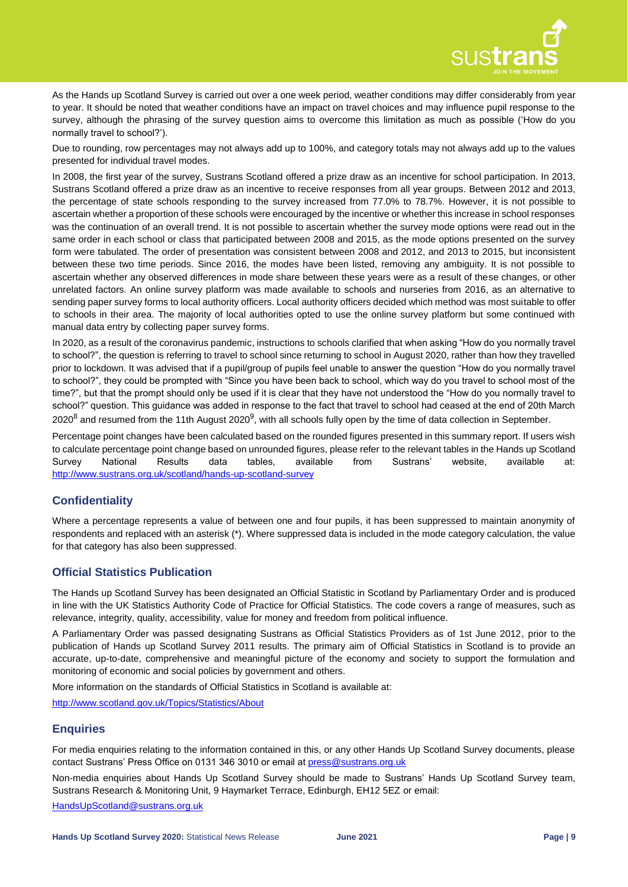

As the Hands up Scotland Survey is carried out over a one week period, weather conditions may differ considerably from year to year. It should be noted that weather conditions have an impact on travel choices and may influence pupil response to the survey, although the phrasing of the survey question aims to overcome this limitation as much as possible ('How do you normally travel to school?').

Due to rounding, row percentages may not always add up to 100%, and category totals may not always add up to the values presented for individual travel modes.

In 2008, the first year of the survey, Sustrans Scotland offered a prize draw as an incentive for school participation. In 2013, Sustrans Scotland offered a prize draw as an incentive to receive responses from all year groups. Between 2012 and 2013, the percentage of state schools responding to the survey increased from 77.0% to 78.7%. However, it is not possible to ascertain whether a proportion of these schools were encouraged by the incentive or whether this increase in school responses was the continuation of an overall trend. It is not possible to ascertain whether the survey mode options were read out in the same order in each school or class that participated between 2008 and 2015, as the mode options presented on the survey form were tabulated. The order of presentation was consistent between 2008 and 2012, and 2013 to 2015, but inconsistent between these two time periods. Since 2016, the modes have been listed, removing any ambiguity. It is not possible to ascertain whether any observed differences in mode share between these years were as a result of these changes, or other unrelated factors. An online survey platform was made available to schools and nurseries from 2016, as an alternative to sending paper survey forms to local authority officers. Local authority officers decided which method was most suitable to offer to schools in their area. The majority of local authorities opted to use the online survey platform but some continued with manual data entry by collecting paper survey forms.

In 2020, as a result of the coronavirus pandemic, instructions to schools clarified that when asking "How do you normally travel to school?", the question is referring to travel to school since returning to school in August 2020, rather than how they travelled prior to lockdown. It was advised that if a pupil/group of pupils feel unable to answer the question "How do you normally travel to school?", they could be prompted with "Since you have been back to school, which way do you travel to school most of the time?", but that the prompt should only be used if it is clear that they have not understood the "How do you normally travel to school?" question. This guidance was added in response to the fact that travel to school had ceased at the end of 20th March 2020<sup>8</sup> and resumed from the 11th August 2020<sup>9</sup>, with all schools fully open by the time of data collection in September.

Percentage point changes have been calculated based on the rounded figures presented in this summary report. If users wish to calculate percentage point change based on unrounded figures, please refer to the relevant tables in the Hands up Scotland Survey National Results data tables, available from Sustrans' website, available at: <http://www.sustrans.org.uk/scotland/hands-up-scotland-survey>

### **Confidentiality**

Where a percentage represents a value of between one and four pupils, it has been suppressed to maintain anonymity of respondents and replaced with an asterisk (\*). Where suppressed data is included in the mode category calculation, the value for that category has also been suppressed.

### **Official Statistics Publication**

The Hands up Scotland Survey has been designated an Official Statistic in Scotland by Parliamentary Order and is produced in line with the UK Statistics Authority Code of Practice for Official Statistics. The code covers a range of measures, such as relevance, integrity, quality, accessibility, value for money and freedom from political influence.

A Parliamentary Order was passed designating Sustrans as Official Statistics Providers as of 1st June 2012, prior to the publication of Hands up Scotland Survey 2011 results. The primary aim of Official Statistics in Scotland is to provide an accurate, up-to-date, comprehensive and meaningful picture of the economy and society to support the formulation and monitoring of economic and social policies by government and others.

More information on the standards of Official Statistics in Scotland is available at:

<http://www.scotland.gov.uk/Topics/Statistics/About>

### **Enquiries**

For media enquiries relating to the information contained in this, or any other Hands Up Scotland Survey documents, please contact Sustrans' Press Office on 0131 346 3010 or email at [press@sustrans.org.uk](mailto:press@sustrans.org.uk?subject=HUSS%202017%20enquiry,%20C/O%20Charlotte%20Otter)

Non-media enquiries about Hands Up Scotland Survey should be made to Sustrans' Hands Up Scotland Survey team, Sustrans Research & Monitoring Unit, 9 Haymarket Terrace, Edinburgh, EH12 5EZ or email:

[HandsUpScotland@sustrans.org.uk](mailto:HandsUpScotland@sustrans.org.uk?subject=HUSS%202017%20enquiry)